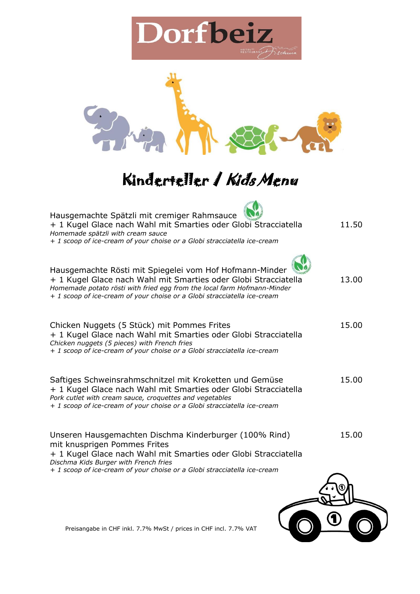



## Kinderteller / Kids Menu

| Hausgemachte Spätzli mit cremiger Rahmsauce<br>+ 1 Kugel Glace nach Wahl mit Smarties oder Globi Stracciatella<br>Homemade spätzli with cream sauce<br>+ 1 scoop of ice-cream of your choise or a Globi stracciatella ice-cream                                                   | 11.50 |
|-----------------------------------------------------------------------------------------------------------------------------------------------------------------------------------------------------------------------------------------------------------------------------------|-------|
| Hausgemachte Rösti mit Spiegelei vom Hof Hofmann-Minder<br>+ 1 Kugel Glace nach Wahl mit Smarties oder Globi Stracciatella<br>Homemade potato rösti with fried egg from the local farm Hofmann-Minder<br>+ 1 scoop of ice-cream of your choise or a Globi stracciatella ice-cream | 13.00 |
| Chicken Nuggets (5 Stück) mit Pommes Frites<br>+ 1 Kugel Glace nach Wahl mit Smarties oder Globi Stracciatella<br>Chicken nuggets (5 pieces) with French fries<br>+ 1 scoop of ice-cream of your choise or a Globi stracciatella ice-cream                                        | 15.00 |
| Saftiges Schweinsrahmschnitzel mit Kroketten und Gemüse<br>+ 1 Kugel Glace nach Wahl mit Smarties oder Globi Stracciatella<br>Pork cutlet with cream sauce, croquettes and vegetables<br>+ 1 scoop of ice-cream of your choise or a Globi stracciatella ice-cream                 | 15.00 |
| Unseren Hausgemachten Dischma Kinderburger (100% Rind)<br>mit knusprigen Pommes Frites<br>+ 1 Kugel Glace nach Wahl mit Smarties oder Globi Stracciatella<br>Dischma Kids Burger with French fries<br>+ 1 scoop of ice-cream of your choise or a Globi stracciatella ice-cream    | 15.00 |
|                                                                                                                                                                                                                                                                                   |       |

 $\mathbf \Omega$ 

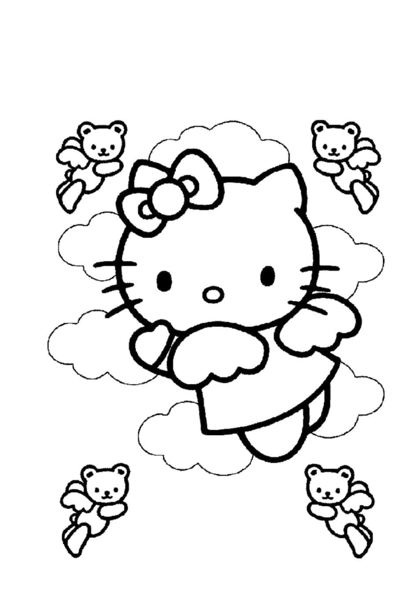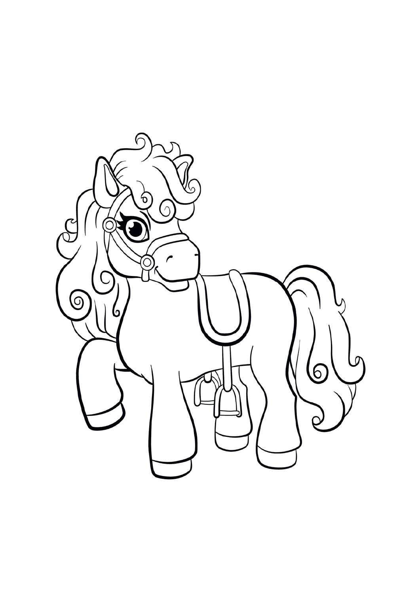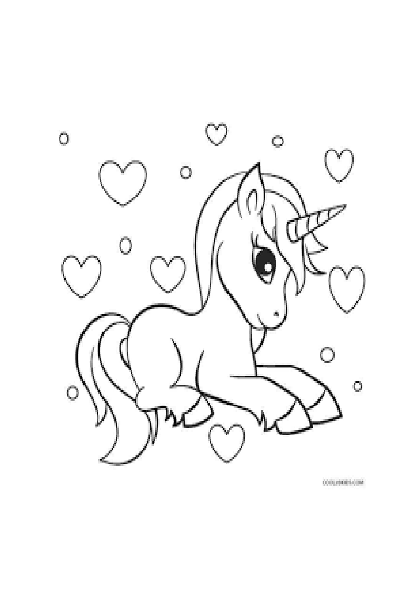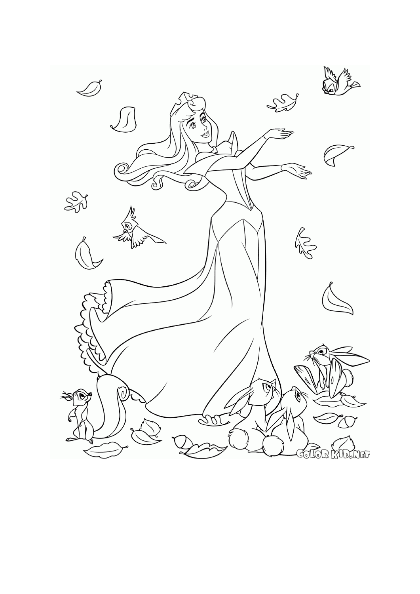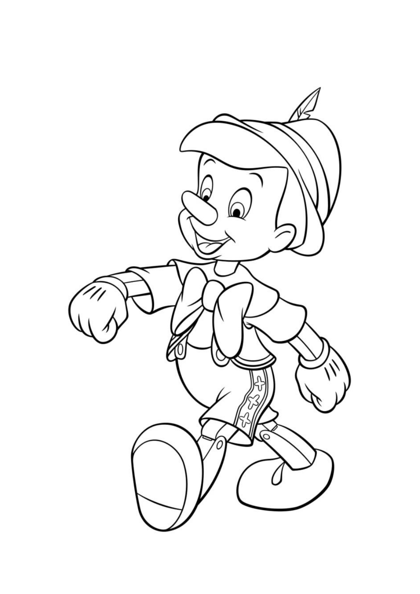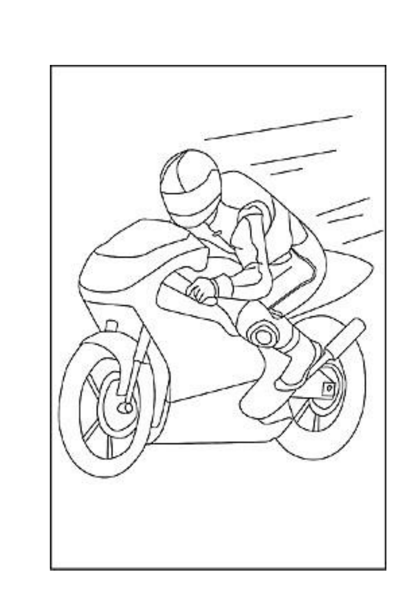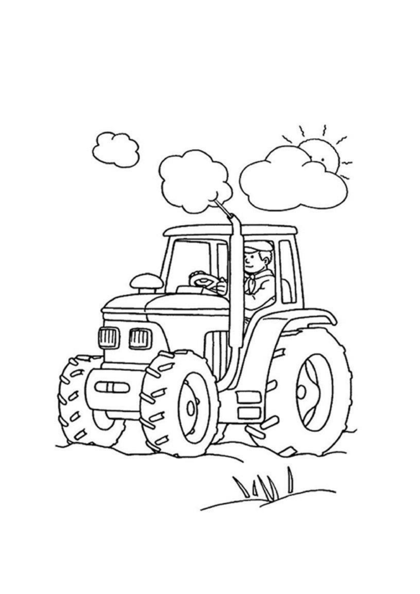